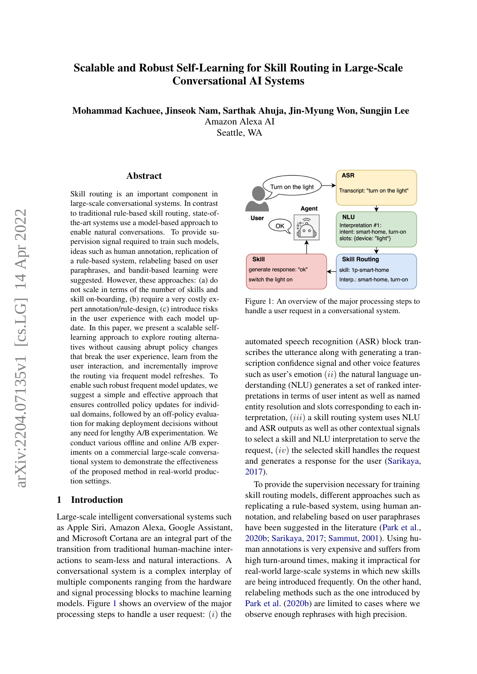# Scalable and Robust Self-Learning for Skill Routing in Large-Scale Conversational AI Systems

Mohammad Kachuee, Jinseok Nam, Sarthak Ahuja, Jin-Myung Won, Sungjin Lee Amazon Alexa AI

Seattle, WA

#### Abstract

Skill routing is an important component in large-scale conversational systems. In contrast to traditional rule-based skill routing, state-ofthe-art systems use a model-based approach to enable natural conversations. To provide supervision signal required to train such models, ideas such as human annotation, replication of a rule-based system, relabeling based on user paraphrases, and bandit-based learning were suggested. However, these approaches: (a) do not scale in terms of the number of skills and skill on-boarding, (b) require a very costly expert annotation/rule-design, (c) introduce risks in the user experience with each model update. In this paper, we present a scalable selflearning approach to explore routing alternatives without causing abrupt policy changes that break the user experience, learn from the user interaction, and incrementally improve the routing via frequent model refreshes. To enable such robust frequent model updates, we suggest a simple and effective approach that ensures controlled policy updates for individual domains, followed by an off-policy evaluation for making deployment decisions without any need for lengthy A/B experimentation. We conduct various offline and online A/B experiments on a commercial large-scale conversational system to demonstrate the effectiveness of the proposed method in real-world production settings.

#### 1 Introduction

Large-scale intelligent conversational systems such as Apple Siri, Amazon Alexa, Google Assistant, and Microsoft Cortana are an integral part of the transition from traditional human-machine interactions to seam-less and natural interactions. A conversational system is a complex interplay of multiple components ranging from the hardware and signal processing blocks to machine learning models. Figure [1](#page-0-0) shows an overview of the major processing steps to handle a user request:  $(i)$  the

<span id="page-0-0"></span>

Figure 1: An overview of the major processing steps to handle a user request in a conversational system.

automated speech recognition (ASR) block transcribes the utterance along with generating a transcription confidence signal and other voice features such as user's emotion  $(ii)$  the natural language understanding (NLU) generates a set of ranked interpretations in terms of user intent as well as named entity resolution and slots corresponding to each interpretation,  $(iii)$  a skill routing system uses NLU and ASR outputs as well as other contextual signals to select a skill and NLU interpretation to serve the request,  $(iv)$  the selected skill handles the request and generates a response for the user [\(Sarikaya,](#page-6-0) [2017\)](#page-6-0).

To provide the supervision necessary for training skill routing models, different approaches such as replicating a rule-based system, using human annotation, and relabeling based on user paraphrases have been suggested in the literature [\(Park et al.,](#page-6-1) [2020b;](#page-6-1) [Sarikaya,](#page-6-0) [2017;](#page-6-0) [Sammut,](#page-6-2) [2001\)](#page-6-2). Using human annotations is very expensive and suffers from high turn-around times, making it impractical for real-world large-scale systems in which new skills are being introduced frequently. On the other hand, relabeling methods such as the one introduced by [Park et al.](#page-6-1) [\(2020b\)](#page-6-1) are limited to cases where we observe enough rephrases with high precision.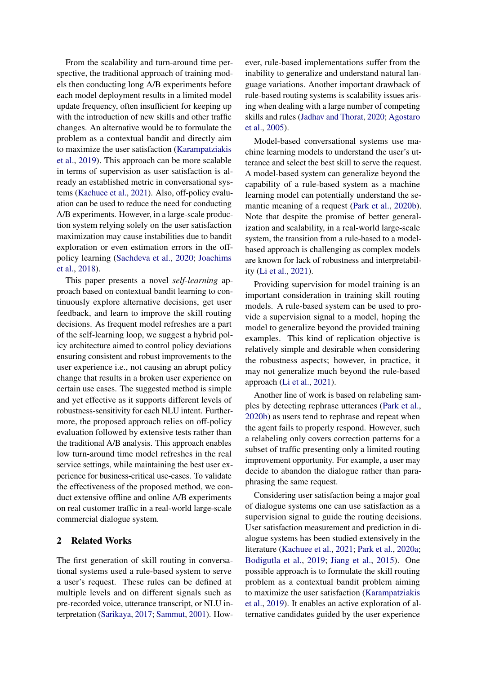From the scalability and turn-around time perspective, the traditional approach of training models then conducting long A/B experiments before each model deployment results in a limited model update frequency, often insufficient for keeping up with the introduction of new skills and other traffic changes. An alternative would be to formulate the problem as a contextual bandit and directly aim to maximize the user satisfaction [\(Karampatziakis](#page-6-3) [et al.,](#page-6-3) [2019\)](#page-6-3). This approach can be more scalable in terms of supervision as user satisfaction is already an established metric in conversational systems [\(Kachuee et al.,](#page-6-4) [2021\)](#page-6-4). Also, off-policy evaluation can be used to reduce the need for conducting A/B experiments. However, in a large-scale production system relying solely on the user satisfaction maximization may cause instabilities due to bandit exploration or even estimation errors in the offpolicy learning [\(Sachdeva et al.,](#page-6-5) [2020;](#page-6-5) [Joachims](#page-6-6) [et al.,](#page-6-6) [2018\)](#page-6-6).

This paper presents a novel *self-learning* approach based on contextual bandit learning to continuously explore alternative decisions, get user feedback, and learn to improve the skill routing decisions. As frequent model refreshes are a part of the self-learning loop, we suggest a hybrid policy architecture aimed to control policy deviations ensuring consistent and robust improvements to the user experience i.e., not causing an abrupt policy change that results in a broken user experience on certain use cases. The suggested method is simple and yet effective as it supports different levels of robustness-sensitivity for each NLU intent. Furthermore, the proposed approach relies on off-policy evaluation followed by extensive tests rather than the traditional A/B analysis. This approach enables low turn-around time model refreshes in the real service settings, while maintaining the best user experience for business-critical use-cases. To validate the effectiveness of the proposed method, we conduct extensive offline and online A/B experiments on real customer traffic in a real-world large-scale commercial dialogue system.

## 2 Related Works

The first generation of skill routing in conversational systems used a rule-based system to serve a user's request. These rules can be defined at multiple levels and on different signals such as pre-recorded voice, utterance transcript, or NLU interpretation [\(Sarikaya,](#page-6-0) [2017;](#page-6-0) [Sammut,](#page-6-2) [2001\)](#page-6-2). However, rule-based implementations suffer from the inability to generalize and understand natural language variations. Another important drawback of rule-based routing systems is scalability issues arising when dealing with a large number of competing skills and rules [\(Jadhav and Thorat,](#page-6-7) [2020;](#page-6-7) [Agostaro](#page-6-8) [et al.,](#page-6-8) [2005\)](#page-6-8).

Model-based conversational systems use machine learning models to understand the user's utterance and select the best skill to serve the request. A model-based system can generalize beyond the capability of a rule-based system as a machine learning model can potentially understand the semantic meaning of a request [\(Park et al.,](#page-6-1) [2020b\)](#page-6-1). Note that despite the promise of better generalization and scalability, in a real-world large-scale system, the transition from a rule-based to a modelbased approach is challenging as complex models are known for lack of robustness and interpretability [\(Li et al.,](#page-6-9) [2021\)](#page-6-9).

Providing supervision for model training is an important consideration in training skill routing models. A rule-based system can be used to provide a supervision signal to a model, hoping the model to generalize beyond the provided training examples. This kind of replication objective is relatively simple and desirable when considering the robustness aspects; however, in practice, it may not generalize much beyond the rule-based approach [\(Li et al.,](#page-6-9) [2021\)](#page-6-9).

Another line of work is based on relabeling samples by detecting rephrase utterances [\(Park et al.,](#page-6-1) [2020b\)](#page-6-1) as users tend to rephrase and repeat when the agent fails to properly respond. However, such a relabeling only covers correction patterns for a subset of traffic presenting only a limited routing improvement opportunity. For example, a user may decide to abandon the dialogue rather than paraphrasing the same request.

Considering user satisfaction being a major goal of dialogue systems one can use satisfaction as a supervision signal to guide the routing decisions. User satisfaction measurement and prediction in dialogue systems has been studied extensively in the literature [\(Kachuee et al.,](#page-6-4) [2021;](#page-6-4) [Park et al.,](#page-6-10) [2020a;](#page-6-10) [Bodigutla et al.,](#page-6-11) [2019;](#page-6-11) [Jiang et al.,](#page-6-12) [2015\)](#page-6-12). One possible approach is to formulate the skill routing problem as a contextual bandit problem aiming to maximize the user satisfaction [\(Karampatziakis](#page-6-3) [et al.,](#page-6-3) [2019\)](#page-6-3). It enables an active exploration of alternative candidates guided by the user experience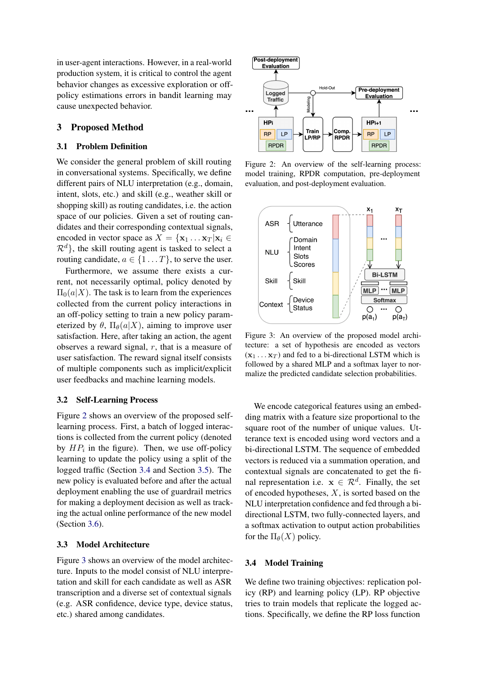in user-agent interactions. However, in a real-world production system, it is critical to control the agent behavior changes as excessive exploration or offpolicy estimations errors in bandit learning may cause unexpected behavior.

# 3 Proposed Method

### 3.1 Problem Definition

We consider the general problem of skill routing in conversational systems. Specifically, we define different pairs of NLU interpretation (e.g., domain, intent, slots, etc.) and skill (e.g., weather skill or shopping skill) as routing candidates, i.e. the action space of our policies. Given a set of routing candidates and their corresponding contextual signals, encoded in vector space as  $X = {\mathbf{x}_1 \dots \mathbf{x}_T | \mathbf{x}_i \in \mathbb{R}^n}$  $\mathcal{R}^d$ , the skill routing agent is tasked to select a routing candidate,  $a \in \{1 \dots T\}$ , to serve the user.

Furthermore, we assume there exists a current, not necessarily optimal, policy denoted by  $\Pi_0(a|X)$ . The task is to learn from the experiences collected from the current policy interactions in an off-policy setting to train a new policy parameterized by  $\theta$ ,  $\Pi_{\theta}(a|X)$ , aiming to improve user satisfaction. Here, after taking an action, the agent observes a reward signal,  $r$ , that is a measure of user satisfaction. The reward signal itself consists of multiple components such as implicit/explicit user feedbacks and machine learning models.

#### 3.2 Self-Learning Process

Figure [2](#page-2-0) shows an overview of the proposed selflearning process. First, a batch of logged interactions is collected from the current policy (denoted by  $HP_i$  in the figure). Then, we use off-policy learning to update the policy using a split of the logged traffic (Section [3.4](#page-2-1) and Section [3.5\)](#page-3-0). The new policy is evaluated before and after the actual deployment enabling the use of guardrail metrics for making a deployment decision as well as tracking the actual online performance of the new model (Section [3.6\)](#page-3-1).

### 3.3 Model Architecture

Figure [3](#page-2-2) shows an overview of the model architecture. Inputs to the model consist of NLU interpretation and skill for each candidate as well as ASR transcription and a diverse set of contextual signals (e.g. ASR confidence, device type, device status, etc.) shared among candidates.

<span id="page-2-0"></span>

Figure 2: An overview of the self-learning process: model training, RPDR computation, pre-deployment evaluation, and post-deployment evaluation.

<span id="page-2-2"></span>

Figure 3: An overview of the proposed model architecture: a set of hypothesis are encoded as vectors  $(\mathbf{x}_1 \dots \mathbf{x}_T)$  and fed to a bi-directional LSTM which is followed by a shared MLP and a softmax layer to normalize the predicted candidate selection probabilities.

We encode categorical features using an embedding matrix with a feature size proportional to the square root of the number of unique values. Utterance text is encoded using word vectors and a bi-directional LSTM. The sequence of embedded vectors is reduced via a summation operation, and contextual signals are concatenated to get the final representation i.e.  $x \in \mathbb{R}^d$ . Finally, the set of encoded hypotheses,  $X$ , is sorted based on the NLU interpretation confidence and fed through a bidirectional LSTM, two fully-connected layers, and a softmax activation to output action probabilities for the  $\Pi_{\theta}(X)$  policy.

#### <span id="page-2-1"></span>3.4 Model Training

We define two training objectives: replication policy (RP) and learning policy (LP). RP objective tries to train models that replicate the logged actions. Specifically, we define the RP loss function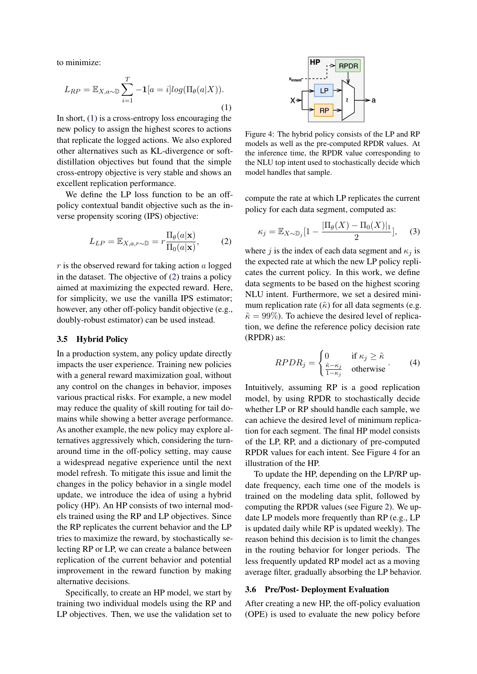to minimize:

<span id="page-3-2"></span>
$$
L_{RP} = \mathbb{E}_{X,a \sim \mathbb{D}} \sum_{i=1}^{T} -\mathbf{1}[a=i]log(\Pi_{\theta}(a|X)).
$$
\n(1)

In short, [\(1\)](#page-3-2) is a cross-entropy loss encouraging the new policy to assign the highest scores to actions that replicate the logged actions. We also explored other alternatives such as KL-divergence or softdistillation objectives but found that the simple cross-entropy objective is very stable and shows an excellent replication performance.

We define the LP loss function to be an offpolicy contextual bandit objective such as the inverse propensity scoring (IPS) objective:

$$
L_{LP} = \mathbb{E}_{X,a,r \sim \mathbb{D}} = r \frac{\Pi_{\theta}(a|\mathbf{x})}{\Pi_{0}(a|\mathbf{x})},\tag{2}
$$

 $r$  is the observed reward for taking action  $a$  logged in the dataset. The objective of [\(2\)](#page-3-3) trains a policy aimed at maximizing the expected reward. Here, for simplicity, we use the vanilla IPS estimator; however, any other off-policy bandit objective (e.g., doubly-robust estimator) can be used instead.

# <span id="page-3-0"></span>3.5 Hybrid Policy

In a production system, any policy update directly impacts the user experience. Training new policies with a general reward maximization goal, without any control on the changes in behavior, imposes various practical risks. For example, a new model may reduce the quality of skill routing for tail domains while showing a better average performance. As another example, the new policy may explore alternatives aggressively which, considering the turnaround time in the off-policy setting, may cause a widespread negative experience until the next model refresh. To mitigate this issue and limit the changes in the policy behavior in a single model update, we introduce the idea of using a hybrid policy (HP). An HP consists of two internal models trained using the RP and LP objectives. Since the RP replicates the current behavior and the LP tries to maximize the reward, by stochastically selecting RP or LP, we can create a balance between replication of the current behavior and potential improvement in the reward function by making alternative decisions.

Specifically, to create an HP model, we start by training two individual models using the RP and LP objectives. Then, we use the validation set to

<span id="page-3-4"></span>

Figure 4: The hybrid policy consists of the LP and RP models as well as the pre-computed RPDR values. At the inference time, the RPDR value corresponding to the NLU top intent used to stochastically decide which model handles that sample.

<span id="page-3-3"></span>compute the rate at which LP replicates the current policy for each data segment, computed as:

$$
\kappa_j = \mathbb{E}_{X \sim \mathbb{D}_j} \left[ 1 - \frac{|\Pi_{\theta}(X) - \Pi_0(X)|_1}{2} \right], \quad (3)
$$

where j is the index of each data segment and  $\kappa_i$  is the expected rate at which the new LP policy replicates the current policy. In this work, we define data segments to be based on the highest scoring NLU intent. Furthermore, we set a desired minimum replication rate  $(\tilde{\kappa})$  for all data segments (e.g.  $\tilde{\kappa} = 99\%$ ). To achieve the desired level of replication, we define the reference policy decision rate (RPDR) as:

$$
RPDR_j = \begin{cases} 0 & \text{if } \kappa_j \ge \tilde{\kappa} \\ \frac{\tilde{\kappa} - \kappa_j}{1 - \kappa_j} & \text{otherwise} \end{cases}
$$
 (4)

Intuitively, assuming RP is a good replication model, by using RPDR to stochastically decide whether LP or RP should handle each sample, we can achieve the desired level of minimum replication for each segment. The final HP model consists of the LP, RP, and a dictionary of pre-computed RPDR values for each intent. See Figure [4](#page-3-4) for an illustration of the HP.

To update the HP, depending on the LP/RP update frequency, each time one of the models is trained on the modeling data split, followed by computing the RPDR values (see Figure [2\)](#page-2-0). We update LP models more frequently than RP (e.g., LP is updated daily while RP is updated weekly). The reason behind this decision is to limit the changes in the routing behavior for longer periods. The less frequently updated RP model act as a moving average filter, gradually absorbing the LP behavior.

#### <span id="page-3-1"></span>3.6 Pre/Post- Deployment Evaluation

After creating a new HP, the off-policy evaluation (OPE) is used to evaluate the new policy before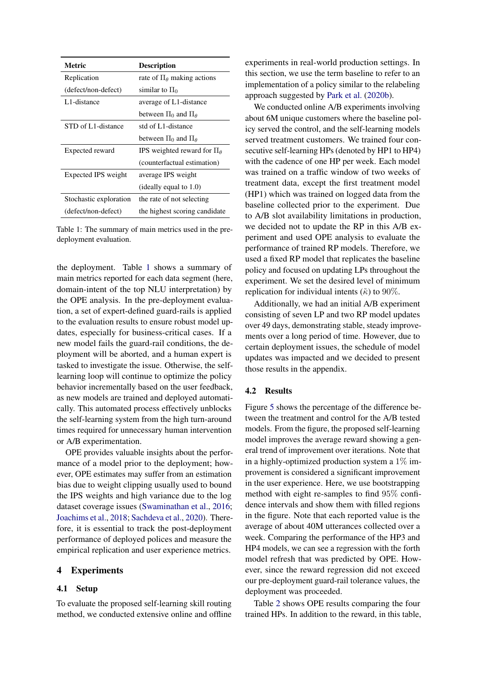<span id="page-4-0"></span>

| <b>Metric</b>          | <b>Description</b>                     |
|------------------------|----------------------------------------|
| Replication            | rate of $\Pi_{\theta}$ making actions  |
| (defect/non-defect)    | similar to $\Pi_0$                     |
| L1-distance            | average of L1-distance                 |
|                        | between $\Pi_0$ and $\Pi_\theta$       |
| STD of L1-distance     | std of L1-distance                     |
|                        | between $\Pi_0$ and $\Pi_\theta$       |
| Expected reward        | IPS weighted reward for $\Pi_{\theta}$ |
|                        | (counterfactual estimation)            |
| Expected IPS weight    | average IPS weight                     |
|                        | (ideally equal to $1.0$ )              |
| Stochastic exploration | the rate of not selecting              |
| (defect/non-defect)    | the highest scoring candidate          |

Table 1: The summary of main metrics used in the predeployment evaluation.

the deployment. Table [1](#page-4-0) shows a summary of main metrics reported for each data segment (here, domain-intent of the top NLU interpretation) by the OPE analysis. In the pre-deployment evaluation, a set of expert-defined guard-rails is applied to the evaluation results to ensure robust model updates, especially for business-critical cases. If a new model fails the guard-rail conditions, the deployment will be aborted, and a human expert is tasked to investigate the issue. Otherwise, the selflearning loop will continue to optimize the policy behavior incrementally based on the user feedback, as new models are trained and deployed automatically. This automated process effectively unblocks the self-learning system from the high turn-around times required for unnecessary human intervention or A/B experimentation.

OPE provides valuable insights about the performance of a model prior to the deployment; however, OPE estimates may suffer from an estimation bias due to weight clipping usually used to bound the IPS weights and high variance due to the log dataset coverage issues [\(Swaminathan et al.,](#page-6-13) [2016;](#page-6-13) [Joachims et al.,](#page-6-6) [2018;](#page-6-6) [Sachdeva et al.,](#page-6-5) [2020\)](#page-6-5). Therefore, it is essential to track the post-deployment performance of deployed polices and measure the empirical replication and user experience metrics.

# 4 Experiments

## 4.1 Setup

To evaluate the proposed self-learning skill routing method, we conducted extensive online and offline

experiments in real-world production settings. In this section, we use the term baseline to refer to an implementation of a policy similar to the relabeling approach suggested by [Park et al.](#page-6-1) [\(2020b\)](#page-6-1).

We conducted online A/B experiments involving about 6M unique customers where the baseline policy served the control, and the self-learning models served treatment customers. We trained four consecutive self-learning HPs (denoted by HP1 to HP4) with the cadence of one HP per week. Each model was trained on a traffic window of two weeks of treatment data, except the first treatment model (HP1) which was trained on logged data from the baseline collected prior to the experiment. Due to A/B slot availability limitations in production, we decided not to update the RP in this A/B experiment and used OPE analysis to evaluate the performance of trained RP models. Therefore, we used a fixed RP model that replicates the baseline policy and focused on updating LPs throughout the experiment. We set the desired level of minimum replication for individual intents ( $\tilde{\kappa}$ ) to 90%.

Additionally, we had an initial A/B experiment consisting of seven LP and two RP model updates over 49 days, demonstrating stable, steady improvements over a long period of time. However, due to certain deployment issues, the schedule of model updates was impacted and we decided to present those results in the appendix.

# 4.2 Results

Figure [5](#page-5-0) shows the percentage of the difference between the treatment and control for the A/B tested models. From the figure, the proposed self-learning model improves the average reward showing a general trend of improvement over iterations. Note that in a highly-optimized production system a  $1\%$  improvement is considered a significant improvement in the user experience. Here, we use bootstrapping method with eight re-samples to find 95% confidence intervals and show them with filled regions in the figure. Note that each reported value is the average of about 40M utterances collected over a week. Comparing the performance of the HP3 and HP4 models, we can see a regression with the forth model refresh that was predicted by OPE. However, since the reward regression did not exceed our pre-deployment guard-rail tolerance values, the deployment was proceeded.

Table [2](#page-5-1) shows OPE results comparing the four trained HPs. In addition to the reward, in this table,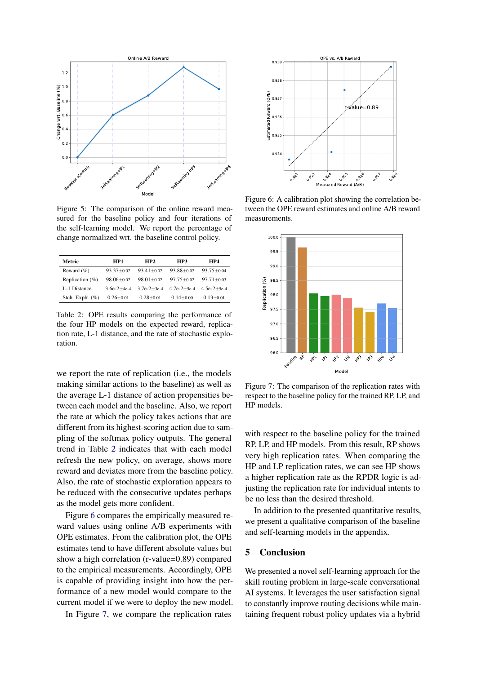<span id="page-5-0"></span>

Figure 5: The comparison of the online reward measured for the baseline policy and four iterations of the self-learning model. We report the percentage of change normalized wrt. the baseline control policy.

<span id="page-5-1"></span>

| Metric              | HP1              | HP2              | HP3              | HP4            |
|---------------------|------------------|------------------|------------------|----------------|
| Reward $(\%)$       | $93.37 + 0.02$   | $93.41 + 0.02$   | $93.88 + 0.02$   | $93.75 + 0.04$ |
| Replication $(\%)$  | $98.06 \pm 0.02$ | $98.01 \pm 0.02$ | $97.75 \pm 0.02$ | $97.71 + 0.03$ |
| L-1 Distance        | $36e-2+4e-4$     | $37e-2+3e-4$     | $47e-2+5e-4$     | $4.5e-2+5e-4$  |
| Stch. Explr. $(\%)$ | $0.26 \pm 0.01$  | $0.28 + 0.01$    | $0.14 \pm 0.00$  | $0.13 + 0.01$  |

Table 2: OPE results comparing the performance of the four HP models on the expected reward, replication rate, L-1 distance, and the rate of stochastic exploration.

we report the rate of replication (i.e., the models making similar actions to the baseline) as well as the average L-1 distance of action propensities between each model and the baseline. Also, we report the rate at which the policy takes actions that are different from its highest-scoring action due to sampling of the softmax policy outputs. The general trend in Table [2](#page-5-1) indicates that with each model refresh the new policy, on average, shows more reward and deviates more from the baseline policy. Also, the rate of stochastic exploration appears to be reduced with the consecutive updates perhaps as the model gets more confident.

Figure [6](#page-5-2) compares the empirically measured reward values using online A/B experiments with OPE estimates. From the calibration plot, the OPE estimates tend to have different absolute values but show a high correlation (r-value=0.89) compared to the empirical measurements. Accordingly, OPE is capable of providing insight into how the performance of a new model would compare to the current model if we were to deploy the new model.

In Figure [7,](#page-5-3) we compare the replication rates

<span id="page-5-2"></span>

Figure 6: A calibration plot showing the correlation between the OPE reward estimates and online A/B reward measurements.

<span id="page-5-3"></span>

Figure 7: The comparison of the replication rates with respect to the baseline policy for the trained RP, LP, and HP models.

with respect to the baseline policy for the trained RP, LP, and HP models. From this result, RP shows very high replication rates. When comparing the HP and LP replication rates, we can see HP shows a higher replication rate as the RPDR logic is adjusting the replication rate for individual intents to be no less than the desired threshold.

In addition to the presented quantitative results, we present a qualitative comparison of the baseline and self-learning models in the appendix.

### 5 Conclusion

We presented a novel self-learning approach for the skill routing problem in large-scale conversational AI systems. It leverages the user satisfaction signal to constantly improve routing decisions while maintaining frequent robust policy updates via a hybrid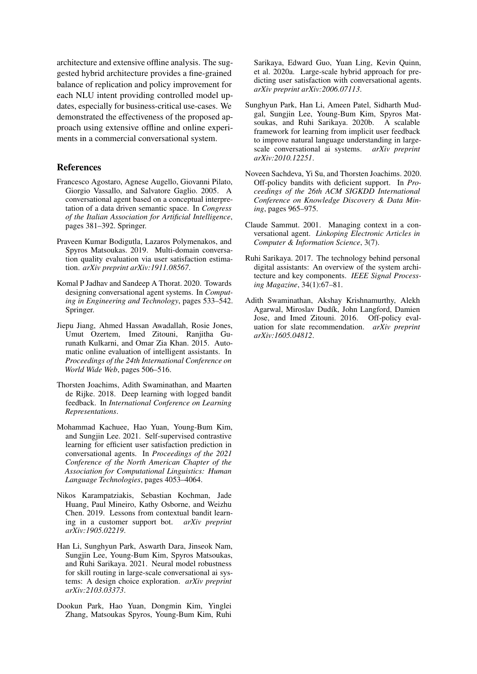architecture and extensive offline analysis. The suggested hybrid architecture provides a fine-grained balance of replication and policy improvement for each NLU intent providing controlled model updates, especially for business-critical use-cases. We demonstrated the effectiveness of the proposed approach using extensive offline and online experiments in a commercial conversational system.

#### References

- <span id="page-6-8"></span>Francesco Agostaro, Agnese Augello, Giovanni Pilato, Giorgio Vassallo, and Salvatore Gaglio. 2005. A conversational agent based on a conceptual interpretation of a data driven semantic space. In *Congress of the Italian Association for Artificial Intelligence*, pages 381–392. Springer.
- <span id="page-6-11"></span>Praveen Kumar Bodigutla, Lazaros Polymenakos, and Spyros Matsoukas. 2019. Multi-domain conversation quality evaluation via user satisfaction estimation. *arXiv preprint arXiv:1911.08567*.
- <span id="page-6-7"></span>Komal P Jadhav and Sandeep A Thorat. 2020. Towards designing conversational agent systems. In *Computing in Engineering and Technology*, pages 533–542. Springer.
- <span id="page-6-12"></span>Jiepu Jiang, Ahmed Hassan Awadallah, Rosie Jones, Umut Ozertem, Imed Zitouni, Ranjitha Gurunath Kulkarni, and Omar Zia Khan. 2015. Automatic online evaluation of intelligent assistants. In *Proceedings of the 24th International Conference on World Wide Web*, pages 506–516.
- <span id="page-6-6"></span>Thorsten Joachims, Adith Swaminathan, and Maarten de Rijke. 2018. Deep learning with logged bandit feedback. In *International Conference on Learning Representations*.
- <span id="page-6-4"></span>Mohammad Kachuee, Hao Yuan, Young-Bum Kim, and Sungjin Lee. 2021. Self-supervised contrastive learning for efficient user satisfaction prediction in conversational agents. In *Proceedings of the 2021 Conference of the North American Chapter of the Association for Computational Linguistics: Human Language Technologies*, pages 4053–4064.
- <span id="page-6-3"></span>Nikos Karampatziakis, Sebastian Kochman, Jade Huang, Paul Mineiro, Kathy Osborne, and Weizhu Chen. 2019. Lessons from contextual bandit learning in a customer support bot. *arXiv preprint arXiv:1905.02219*.
- <span id="page-6-9"></span>Han Li, Sunghyun Park, Aswarth Dara, Jinseok Nam, Sungjin Lee, Young-Bum Kim, Spyros Matsoukas, and Ruhi Sarikaya. 2021. Neural model robustness for skill routing in large-scale conversational ai systems: A design choice exploration. *arXiv preprint arXiv:2103.03373*.
- <span id="page-6-10"></span>Dookun Park, Hao Yuan, Dongmin Kim, Yinglei Zhang, Matsoukas Spyros, Young-Bum Kim, Ruhi

Sarikaya, Edward Guo, Yuan Ling, Kevin Quinn, et al. 2020a. Large-scale hybrid approach for predicting user satisfaction with conversational agents. *arXiv preprint arXiv:2006.07113*.

- <span id="page-6-1"></span>Sunghyun Park, Han Li, Ameen Patel, Sidharth Mudgal, Sungjin Lee, Young-Bum Kim, Spyros Matsoukas, and Ruhi Sarikaya. 2020b. A scalable framework for learning from implicit user feedback to improve natural language understanding in largescale conversational ai systems. *arXiv preprint arXiv:2010.12251*.
- <span id="page-6-5"></span>Noveen Sachdeva, Yi Su, and Thorsten Joachims. 2020. Off-policy bandits with deficient support. In *Proceedings of the 26th ACM SIGKDD International Conference on Knowledge Discovery & Data Mining*, pages 965–975.
- <span id="page-6-2"></span>Claude Sammut. 2001. Managing context in a conversational agent. *Linkoping Electronic Articles in Computer & Information Science*, 3(7).
- <span id="page-6-0"></span>Ruhi Sarikaya. 2017. The technology behind personal digital assistants: An overview of the system architecture and key components. *IEEE Signal Processing Magazine*, 34(1):67–81.
- <span id="page-6-13"></span>Adith Swaminathan, Akshay Krishnamurthy, Alekh Agarwal, Miroslav Dudík, John Langford, Damien Jose, and Imed Zitouni. 2016. Off-policy evaluation for slate recommendation. *arXiv preprint arXiv:1605.04812*.